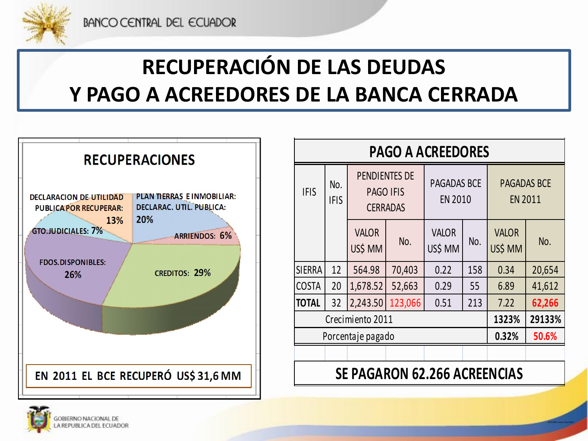

# **RECUPERACIÓN DE LAS DEUDAS Y PAGO A ACREEDORES DE LA BANCA CERRADA**



| <b>PAGO A ACREEDORES</b>            |                    |                                                             |         |                               |     |                                      |        |
|-------------------------------------|--------------------|-------------------------------------------------------------|---------|-------------------------------|-----|--------------------------------------|--------|
| <b>IFIS</b>                         | No.<br><b>IFIS</b> | <b>PENDIENTES DE</b><br><b>PAGO IFIS</b><br><b>CERRADAS</b> |         | PAGADAS BCE<br><b>EN 2010</b> |     | <b>PAGADAS BCE</b><br><b>EN 2011</b> |        |
|                                     |                    | <b>VALOR</b><br>US\$ MM                                     | No.     | <b>VALOR</b><br>US\$ MM       | No. | <b>VALOR</b><br>US\$ MM              | No.    |
| <b>SIERRA</b>                       | 12                 | 564.98                                                      | 70,403  | 0.22                          | 158 | 0.34                                 | 20,654 |
| <b>COSTA</b>                        | 20                 | 1,678.52                                                    | 52,663  | 0.29                          | 55  | 6.89                                 | 41,612 |
| <b>TOTAL</b>                        | 32                 | 2,243.50                                                    | 123,066 | 0.51                          | 213 | 7.22                                 | 62,266 |
| Crecimiento 2011                    |                    |                                                             |         |                               |     | 1323%                                | 29133% |
| Porcentaje pagado                   |                    |                                                             |         |                               |     | 0.32%                                | 50.6%  |
|                                     |                    |                                                             |         |                               |     |                                      |        |
| <b>SE PAGARON 62.266 ACREENCIAS</b> |                    |                                                             |         |                               |     |                                      |        |

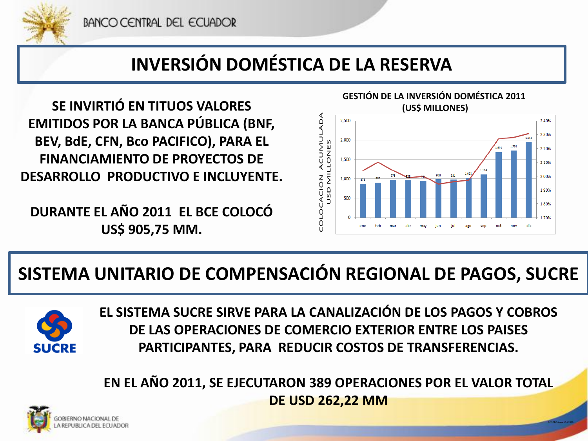

#### **INVERSIÓN DOMÉSTICA DE LA RESERVA**

**SE INVIRTIÓ EN TITUOS VALORES EMITIDOS POR LA BANCA PÚBLICA (BNF, BEV, BdE, CFN, Bco PACIFICO), PARA EL FINANCIAMIENTO DE PROYECTOS DE DESARROLLO PRODUCTIVO E INCLUYENTE.**

**DURANTE EL AÑO 2011 EL BCE COLOCÓ US\$ 905,75 MM.** 



#### **SISTEMA UNITARIO DE COMPENSACIÓN REGIONAL DE PAGOS, SUCRE**



**EL SISTEMA SUCRE SIRVE PARA LA CANALIZACIÓN DE LOS PAGOS Y COBROS DE LAS OPERACIONES DE COMERCIO EXTERIOR ENTRE LOS PAISES PARTICIPANTES, PARA REDUCIR COSTOS DE TRANSFERENCIAS.** 

**EN EL AÑO 2011, SE EJECUTARON 389 OPERACIONES POR EL VALOR TOTAL DE USD 262,22 MM**

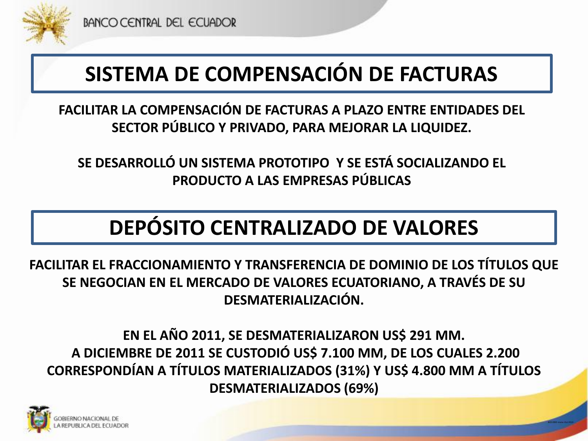

### **SISTEMA DE COMPENSACIÓN DE FACTURAS**

**FACILITAR LA COMPENSACIÓN DE FACTURAS A PLAZO ENTRE ENTIDADES DEL SECTOR PÚBLICO Y PRIVADO, PARA MEJORAR LA LIQUIDEZ.** 

**SE DESARROLLÓ UN SISTEMA PROTOTIPO Y SE ESTÁ SOCIALIZANDO EL PRODUCTO A LAS EMPRESAS PÚBLICAS**

### **DEPÓSITO CENTRALIZADO DE VALORES**

**FACILITAR EL FRACCIONAMIENTO Y TRANSFERENCIA DE DOMINIO DE LOS TÍTULOS QUE SE NEGOCIAN EN EL MERCADO DE VALORES ECUATORIANO, A TRAVÉS DE SU DESMATERIALIZACIÓN.** 

**EN EL AÑO 2011, SE DESMATERIALIZARON US\$ 291 MM. A DICIEMBRE DE 2011 SE CUSTODIÓ US\$ 7.100 MM, DE LOS CUALES 2.200 CORRESPONDÍAN A TÍTULOS MATERIALIZADOS (31%) Y US\$ 4.800 MM A TÍTULOS DESMATERIALIZADOS (69%)** 

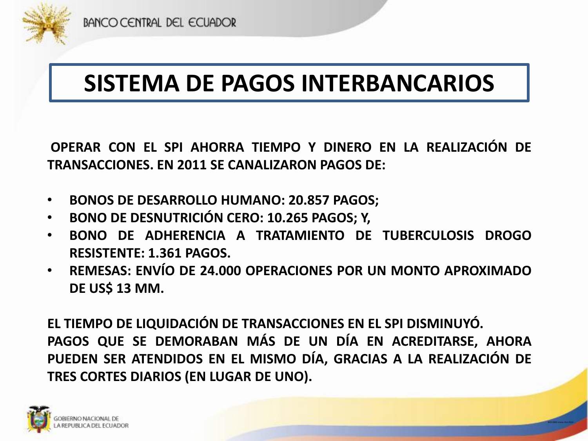

# **SISTEMA DE PAGOS INTERBANCARIOS**

**OPERAR CON EL SPI AHORRA TIEMPO Y DINERO EN LA REALIZACIÓN DE TRANSACCIONES. EN 2011 SE CANALIZARON PAGOS DE:**

- **BONOS DE DESARROLLO HUMANO: 20.857 PAGOS;**
- **BONO DE DESNUTRICIÓN CERO: 10.265 PAGOS; Y,**
- **BONO DE ADHERENCIA A TRATAMIENTO DE TUBERCULOSIS DROGO RESISTENTE: 1.361 PAGOS.**
- **REMESAS: ENVÍO DE 24.000 OPERACIONES POR UN MONTO APROXIMADO DE US\$ 13 MM.**

**EL TIEMPO DE LIQUIDACIÓN DE TRANSACCIONES EN EL SPI DISMINUYÓ. PAGOS QUE SE DEMORABAN MÁS DE UN DÍA EN ACREDITARSE, AHORA PUEDEN SER ATENDIDOS EN EL MISMO DÍA, GRACIAS A LA REALIZACIÓN DE TRES CORTES DIARIOS (EN LUGAR DE UNO).**

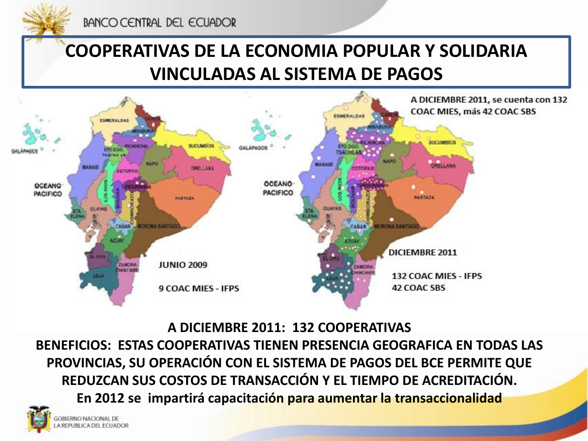

BANCO CENTRAL DEL ECUADOR

### **COOPERATIVAS DE LA ECONOMIA POPULAR Y SOLIDARIA VINCULADAS AL SISTEMA DE PAGOS**



**A DICIEMBRE 2011: 132 COOPERATIVAS** 

**BENEFICIOS: ESTAS COOPERATIVAS TIENEN PRESENCIA GEOGRAFICA EN TODAS LAS PROVINCIAS, SU OPERACIÓN CON EL SISTEMA DE PAGOS DEL BCE PERMITE QUE REDUZCAN SUS COSTOS DE TRANSACCIÓN Y EL TIEMPO DE ACREDITACIÓN. En 2012 se impartirá capacitación para aumentar la transaccionalidad**